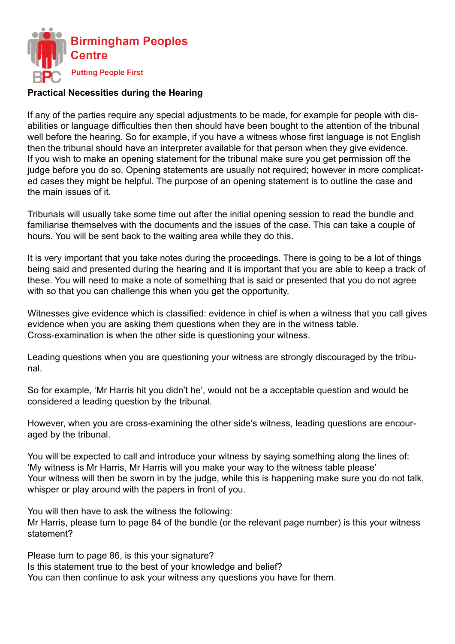

## **Practical Necessities during the Hearing**

If any of the parties require any special adjustments to be made, for example for people with disabilities or language difficulties then then should have been bought to the attention of the tribunal well before the hearing. So for example, if you have a witness whose first language is not English then the tribunal should have an interpreter available for that person when they give evidence. If you wish to make an opening statement for the tribunal make sure you get permission off the judge before you do so. Opening statements are usually not required; however in more complicated cases they might be helpful. The purpose of an opening statement is to outline the case and the main issues of it.

Tribunals will usually take some time out after the initial opening session to read the bundle and familiarise themselves with the documents and the issues of the case. This can take a couple of hours. You will be sent back to the waiting area while they do this.

It is very important that you take notes during the proceedings. There is going to be a lot of things being said and presented during the hearing and it is important that you are able to keep a track of these. You will need to make a note of something that is said or presented that you do not agree with so that you can challenge this when you get the opportunity.

Witnesses give evidence which is classified: evidence in chief is when a witness that you call gives evidence when you are asking them questions when they are in the witness table. Cross-examination is when the other side is questioning your witness.

Leading questions when you are questioning your witness are strongly discouraged by the tribunal.

So for example, 'Mr Harris hit you didn't he', would not be a acceptable question and would be considered a leading question by the tribunal.

However, when you are cross-examining the other side's witness, leading questions are encouraged by the tribunal.

You will be expected to call and introduce your witness by saying something along the lines of: 'My witness is Mr Harris, Mr Harris will you make your way to the witness table please' Your witness will then be sworn in by the judge, while this is happening make sure you do not talk, whisper or play around with the papers in front of you.

You will then have to ask the witness the following: Mr Harris, please turn to page 84 of the bundle (or the relevant page number) is this your witness statement?

Please turn to page 86, is this your signature? Is this statement true to the best of your knowledge and belief? You can then continue to ask your witness any questions you have for them.